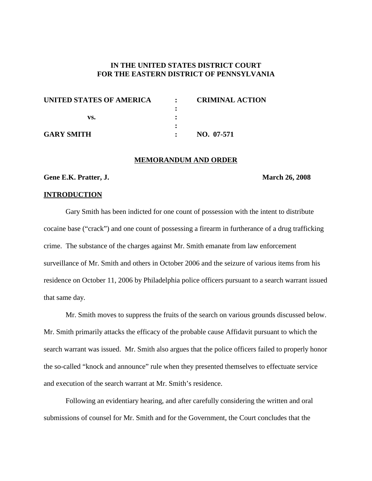# **IN THE UNITED STATES DISTRICT COURT FOR THE EASTERN DISTRICT OF PENNSYLVANIA**

| UNITED STATES OF AMERICA | $\mathbf{r}$ | <b>CRIMINAL ACTION</b> |
|--------------------------|--------------|------------------------|
|                          |              |                        |
| vs.                      |              |                        |
|                          |              |                        |
| <b>GARY SMITH</b>        |              | NO. 07-571             |

### **MEMORANDUM AND ORDER**

#### **Gene E.K. Pratter, J. March 26, 2008**

#### **INTRODUCTION**

Gary Smith has been indicted for one count of possession with the intent to distribute cocaine base ("crack") and one count of possessing a firearm in furtherance of a drug trafficking crime. The substance of the charges against Mr. Smith emanate from law enforcement surveillance of Mr. Smith and others in October 2006 and the seizure of various items from his residence on October 11, 2006 by Philadelphia police officers pursuant to a search warrant issued that same day.

Mr. Smith moves to suppress the fruits of the search on various grounds discussed below. Mr. Smith primarily attacks the efficacy of the probable cause Affidavit pursuant to which the search warrant was issued. Mr. Smith also argues that the police officers failed to properly honor the so-called "knock and announce" rule when they presented themselves to effectuate service and execution of the search warrant at Mr. Smith's residence.

Following an evidentiary hearing, and after carefully considering the written and oral submissions of counsel for Mr. Smith and for the Government, the Court concludes that the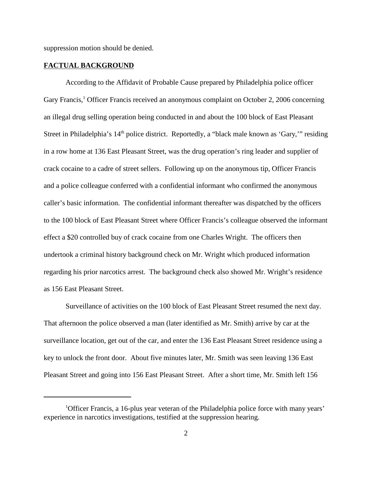suppression motion should be denied.

#### **FACTUAL BACKGROUND**

According to the Affidavit of Probable Cause prepared by Philadelphia police officer Gary Francis,<sup>1</sup> Officer Francis received an anonymous complaint on October 2, 2006 concerning an illegal drug selling operation being conducted in and about the 100 block of East Pleasant Street in Philadelphia's  $14<sup>th</sup>$  police district. Reportedly, a "black male known as 'Gary,'" residing in a row home at 136 East Pleasant Street, was the drug operation's ring leader and supplier of crack cocaine to a cadre of street sellers. Following up on the anonymous tip, Officer Francis and a police colleague conferred with a confidential informant who confirmed the anonymous caller's basic information. The confidential informant thereafter was dispatched by the officers to the 100 block of East Pleasant Street where Officer Francis's colleague observed the informant effect a \$20 controlled buy of crack cocaine from one Charles Wright. The officers then undertook a criminal history background check on Mr. Wright which produced information regarding his prior narcotics arrest. The background check also showed Mr. Wright's residence as 156 East Pleasant Street.

Surveillance of activities on the 100 block of East Pleasant Street resumed the next day. That afternoon the police observed a man (later identified as Mr. Smith) arrive by car at the surveillance location, get out of the car, and enter the 136 East Pleasant Street residence using a key to unlock the front door. About five minutes later, Mr. Smith was seen leaving 136 East Pleasant Street and going into 156 East Pleasant Street. After a short time, Mr. Smith left 156

<sup>&</sup>lt;sup>1</sup>Officer Francis, a 16-plus year veteran of the Philadelphia police force with many years' experience in narcotics investigations, testified at the suppression hearing.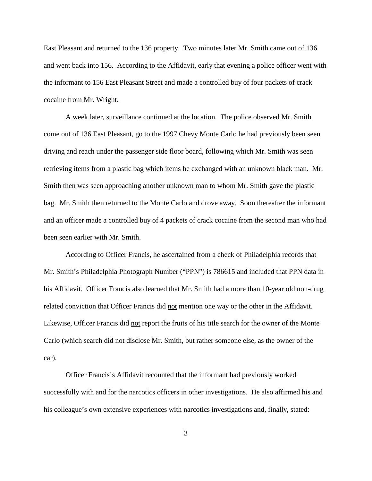East Pleasant and returned to the 136 property. Two minutes later Mr. Smith came out of 136 and went back into 156. According to the Affidavit, early that evening a police officer went with the informant to 156 East Pleasant Street and made a controlled buy of four packets of crack cocaine from Mr. Wright.

A week later, surveillance continued at the location. The police observed Mr. Smith come out of 136 East Pleasant, go to the 1997 Chevy Monte Carlo he had previously been seen driving and reach under the passenger side floor board, following which Mr. Smith was seen retrieving items from a plastic bag which items he exchanged with an unknown black man. Mr. Smith then was seen approaching another unknown man to whom Mr. Smith gave the plastic bag. Mr. Smith then returned to the Monte Carlo and drove away. Soon thereafter the informant and an officer made a controlled buy of 4 packets of crack cocaine from the second man who had been seen earlier with Mr. Smith.

According to Officer Francis, he ascertained from a check of Philadelphia records that Mr. Smith's Philadelphia Photograph Number ("PPN") is 786615 and included that PPN data in his Affidavit. Officer Francis also learned that Mr. Smith had a more than 10-year old non-drug related conviction that Officer Francis did not mention one way or the other in the Affidavit. Likewise, Officer Francis did not report the fruits of his title search for the owner of the Monte Carlo (which search did not disclose Mr. Smith, but rather someone else, as the owner of the car).

Officer Francis's Affidavit recounted that the informant had previously worked successfully with and for the narcotics officers in other investigations. He also affirmed his and his colleague's own extensive experiences with narcotics investigations and, finally, stated: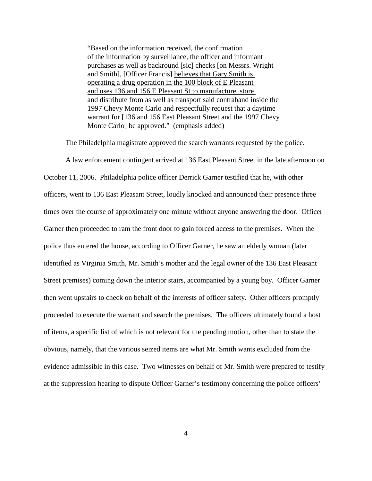"Based on the information received, the confirmation of the information by surveillance, the officer and informant purchases as well as backround [sic] checks [on Messrs. Wright and Smith], [Officer Francis] believes that Gary Smith is operating a drug operation in the 100 block of E Pleasant and uses 136 and 156 E Pleasant St to manufacture, store and distribute from as well as transport said contraband inside the 1997 Chevy Monte Carlo and respectfully request that a daytime warrant for [136 and 156 East Pleasant Street and the 1997 Chevy Monte Carlo] be approved." (emphasis added)

The Philadelphia magistrate approved the search warrants requested by the police.

A law enforcement contingent arrived at 136 East Pleasant Street in the late afternoon on October 11, 2006. Philadelphia police officer Derrick Garner testified that he, with other officers, went to 136 East Pleasant Street, loudly knocked and announced their presence three times over the course of approximately one minute without anyone answering the door. Officer Garner then proceeded to ram the front door to gain forced access to the premises. When the police thus entered the house, according to Officer Garner, he saw an elderly woman (later identified as Virginia Smith, Mr. Smith's mother and the legal owner of the 136 East Pleasant Street premises) coming down the interior stairs, accompanied by a young boy. Officer Garner then went upstairs to check on behalf of the interests of officer safety. Other officers promptly proceeded to execute the warrant and search the premises. The officers ultimately found a host of items, a specific list of which is not relevant for the pending motion, other than to state the obvious, namely, that the various seized items are what Mr. Smith wants excluded from the evidence admissible in this case. Two witnesses on behalf of Mr. Smith were prepared to testify at the suppression hearing to dispute Officer Garner's testimony concerning the police officers'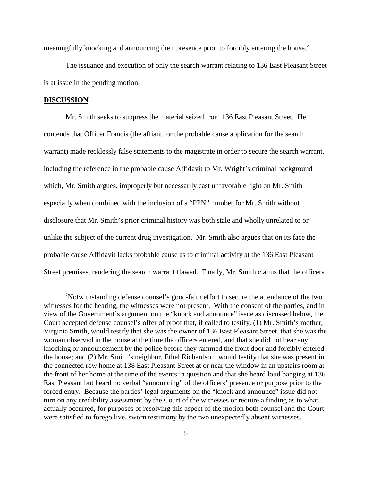meaningfully knocking and announcing their presence prior to forcibly entering the house. 2

The issuance and execution of only the search warrant relating to 136 East Pleasant Street is at issue in the pending motion.

#### **DISCUSSION**

Mr. Smith seeks to suppress the material seized from 136 East Pleasant Street. He contends that Officer Francis (the affiant for the probable cause application for the search warrant) made recklessly false statements to the magistrate in order to secure the search warrant, including the reference in the probable cause Affidavit to Mr. Wright's criminal background which, Mr. Smith argues, improperly but necessarily cast unfavorable light on Mr. Smith especially when combined with the inclusion of a "PPN" number for Mr. Smith without disclosure that Mr. Smith's prior criminal history was both stale and wholly unrelated to or unlike the subject of the current drug investigation. Mr. Smith also argues that on its face the probable cause Affidavit lacks probable cause as to criminal activity at the 136 East Pleasant Street premises, rendering the search warrant flawed. Finally, Mr. Smith claims that the officers

<sup>&</sup>lt;sup>2</sup>Notwithstanding defense counsel's good-faith effort to secure the attendance of the two witnesses for the hearing, the witnesses were not present. With the consent of the parties, and in view of the Government's argument on the "knock and announce" issue as discussed below, the Court accepted defense counsel's offer of proof that, if called to testify, (1) Mr. Smith's mother, Virginia Smith, would testify that she was the owner of 136 East Pleasant Street, that she was the woman observed in the house at the time the officers entered, and that she did not hear any knocking or announcement by the police before they rammed the front door and forcibly entered the house; and (2) Mr. Smith's neighbor, Ethel Richardson, would testify that she was present in the connected row home at 138 East Pleasant Street at or near the window in an upstairs room at the front of her home at the time of the events in question and that she heard loud banging at 136 East Pleasant but heard no verbal "announcing" of the officers' presence or purpose prior to the forced entry. Because the parties' legal arguments on the "knock and announce" issue did not turn on any credibility assessment by the Court of the witnesses or require a finding as to what actually occurred, for purposes of resolving this aspect of the motion both counsel and the Court were satisfied to forego live, sworn testimony by the two unexpectedly absent witnesses.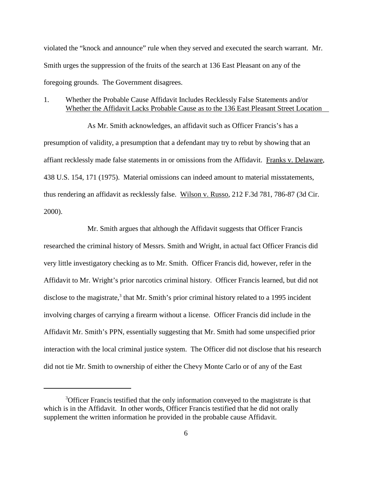violated the "knock and announce" rule when they served and executed the search warrant. Mr. Smith urges the suppression of the fruits of the search at 136 East Pleasant on any of the foregoing grounds. The Government disagrees.

# 1. Whether the Probable Cause Affidavit Includes Recklessly False Statements and/or Whether the Affidavit Lacks Probable Cause as to the 136 East Pleasant Street Location

As Mr. Smith acknowledges, an affidavit such as Officer Francis's has a presumption of validity, a presumption that a defendant may try to rebut by showing that an affiant recklessly made false statements in or omissions from the Affidavit. Franks v. Delaware, 438 U.S. 154, 171 (1975). Material omissions can indeed amount to material misstatements, thus rendering an affidavit as recklessly false. Wilson v. Russo, 212 F.3d 781, 786-87 (3d Cir. 2000).

Mr. Smith argues that although the Affidavit suggests that Officer Francis researched the criminal history of Messrs. Smith and Wright, in actual fact Officer Francis did very little investigatory checking as to Mr. Smith. Officer Francis did, however, refer in the Affidavit to Mr. Wright's prior narcotics criminal history. Officer Francis learned, but did not disclose to the magistrate, <sup>3</sup> that Mr. Smith's prior criminal history related to a 1995 incident involving charges of carrying a firearm without a license. Officer Francis did include in the Affidavit Mr. Smith's PPN, essentially suggesting that Mr. Smith had some unspecified prior interaction with the local criminal justice system. The Officer did not disclose that his research did not tie Mr. Smith to ownership of either the Chevy Monte Carlo or of any of the East

<sup>&</sup>lt;sup>3</sup>Officer Francis testified that the only information conveyed to the magistrate is that which is in the Affidavit. In other words, Officer Francis testified that he did not orally supplement the written information he provided in the probable cause Affidavit.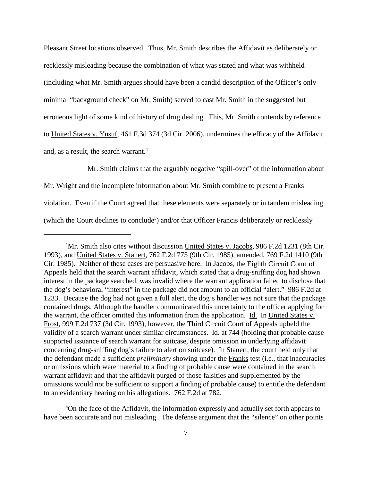Pleasant Street locations observed. Thus, Mr. Smith describes the Affidavit as deliberately or recklessly misleading because the combination of what was stated and what was withheld (including what Mr. Smith argues should have been a candid description of the Officer's only minimal "background check" on Mr. Smith) served to cast Mr. Smith in the suggested but erroneous light of some kind of history of drug dealing. This, Mr. Smith contends by reference to United States v. Yusuf, 461 F.3d 374 (3d Cir. 2006), undermines the efficacy of the Affidavit and, as a result, the search warrant. 4

Mr. Smith claims that the arguably negative "spill-over" of the information about Mr. Wright and the incomplete information about Mr. Smith combine to present a Franks violation. Even if the Court agreed that these elements were separately or in tandem misleading (which the Court declines to conclude<sup>5</sup>) and/or that Officer Francis deliberately or recklessly

<sup>5</sup>On the face of the Affidavit, the information expressly and actually set forth appears to have been accurate and not misleading. The defense argument that the "silence" on other points

<sup>&</sup>lt;sup>4</sup>Mr. Smith also cites without discussion United States v. Jacobs, 986 F.2d 1231 (8th Cir. 1993), and United States v. Stanert, 762 F.2d 775 (9th Cir. 1985), amended, 769 F.2d 1410 (9th Cir. 1985). Neither of these cases are persuasive here. In Jacobs, the Eighth Circuit Court of Appeals held that the search warrant affidavit, which stated that a drug-sniffing dog had shown interest in the package searched, was invalid where the warrant application failed to disclose that the dog's behavioral "interest" in the package did not amount to an official "alert." 986 F.2d at 1233. Because the dog had not given a full alert, the dog's handler was not sure that the package contained drugs. Although the handler communicated this uncertainty to the officer applying for the warrant, the officer omitted this information from the application. Id. In United States v. Frost, 999 F.2d 737 (3d Cir. 1993), however, the Third Circuit Court of Appeals upheld the validity of a search warrant under similar circumstances. Id. at 744 (holding that probable cause supported issuance of search warrant for suitcase, despite omission in underlying affidavit concerning drug-sniffing dog's failure to alert on suitcase). In Stanert, the court held only that the defendant made a sufficient *preliminary* showing under the Franks test (i.e., that inaccuracies or omissions which were material to a finding of probable cause were contained in the search warrant affidavit and that the affidavit purged of those falsities and supplemented by the omissions would not be sufficient to support a finding of probable cause) to entitle the defendant to an evidentiary hearing on his allegations. 762 F.2d at 782.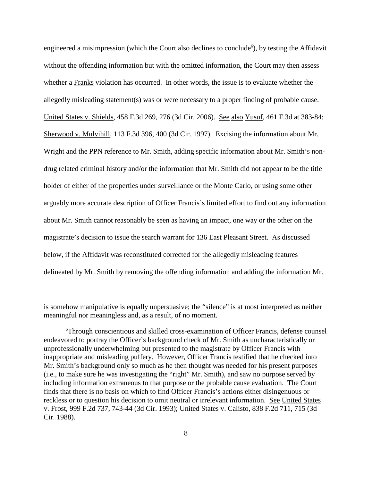engineered a misimpression (which the Court also declines to conclude<sup>6</sup>), by testing the Affidavit without the offending information but with the omitted information, the Court may then assess whether a Franks violation has occurred. In other words, the issue is to evaluate whether the allegedly misleading statement(s) was or were necessary to a proper finding of probable cause. United States v. Shields, 458 F.3d 269, 276 (3d Cir. 2006). See also Yusuf, 461 F.3d at 383-84; Sherwood v. Mulvihill, 113 F.3d 396, 400 (3d Cir. 1997). Excising the information about Mr. Wright and the PPN reference to Mr. Smith, adding specific information about Mr. Smith's nondrug related criminal history and/or the information that Mr. Smith did not appear to be the title holder of either of the properties under surveillance or the Monte Carlo, or using some other arguably more accurate description of Officer Francis's limited effort to find out any information about Mr. Smith cannot reasonably be seen as having an impact, one way or the other on the magistrate's decision to issue the search warrant for 136 East Pleasant Street. As discussed below, if the Affidavit was reconstituted corrected for the allegedly misleading features delineated by Mr. Smith by removing the offending information and adding the information Mr.

is somehow manipulative is equally unpersuasive; the "silence" is at most interpreted as neither meaningful nor meaningless and, as a result, of no moment.

<sup>6</sup> Through conscientious and skilled cross-examination of Officer Francis, defense counsel endeavored to portray the Officer's background check of Mr. Smith as uncharacteristically or unprofessionally underwhelming but presented to the magistrate by Officer Francis with inappropriate and misleading puffery. However, Officer Francis testified that he checked into Mr. Smith's background only so much as he then thought was needed for his present purposes (i.e., to make sure he was investigating the "right" Mr. Smith), and saw no purpose served by including information extraneous to that purpose or the probable cause evaluation. The Court finds that there is no basis on which to find Officer Francis's actions either disingenuous or reckless or to question his decision to omit neutral or irrelevant information. See United States v. Frost, 999 F.2d 737, 743-44 (3d Cir. 1993); United States v. Calisto, 838 F.2d 711, 715 (3d Cir. 1988).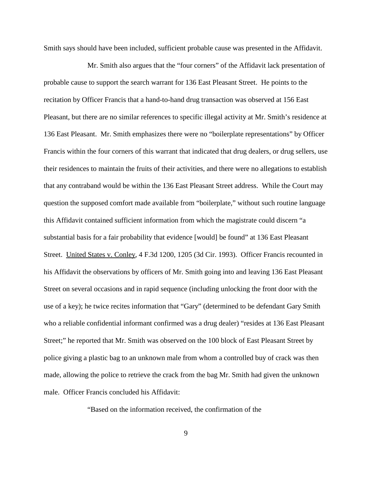Smith says should have been included, sufficient probable cause was presented in the Affidavit.

Mr. Smith also argues that the "four corners" of the Affidavit lack presentation of probable cause to support the search warrant for 136 East Pleasant Street. He points to the recitation by Officer Francis that a hand-to-hand drug transaction was observed at 156 East Pleasant, but there are no similar references to specific illegal activity at Mr. Smith's residence at 136 East Pleasant. Mr. Smith emphasizes there were no "boilerplate representations" by Officer Francis within the four corners of this warrant that indicated that drug dealers, or drug sellers, use their residences to maintain the fruits of their activities, and there were no allegations to establish that any contraband would be within the 136 East Pleasant Street address. While the Court may question the supposed comfort made available from "boilerplate," without such routine language this Affidavit contained sufficient information from which the magistrate could discern "a substantial basis for a fair probability that evidence [would] be found" at 136 East Pleasant Street. United States v. Conley, 4 F.3d 1200, 1205 (3d Cir. 1993). Officer Francis recounted in his Affidavit the observations by officers of Mr. Smith going into and leaving 136 East Pleasant Street on several occasions and in rapid sequence (including unlocking the front door with the use of a key); he twice recites information that "Gary" (determined to be defendant Gary Smith who a reliable confidential informant confirmed was a drug dealer) "resides at 136 East Pleasant Street;" he reported that Mr. Smith was observed on the 100 block of East Pleasant Street by police giving a plastic bag to an unknown male from whom a controlled buy of crack was then made, allowing the police to retrieve the crack from the bag Mr. Smith had given the unknown male. Officer Francis concluded his Affidavit:

"Based on the information received, the confirmation of the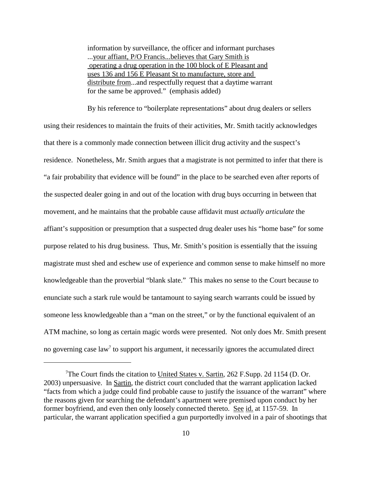information by surveillance, the officer and informant purchases ...your affiant, P/O Francis...believes that Gary Smith is operating a drug operation in the 100 block of E Pleasant and uses 136 and 156 E Pleasant St to manufacture, store and distribute from...and respectfully request that a daytime warrant for the same be approved." (emphasis added)

By his reference to "boilerplate representations" about drug dealers or sellers using their residences to maintain the fruits of their activities, Mr. Smith tacitly acknowledges that there is a commonly made connection between illicit drug activity and the suspect's residence. Nonetheless, Mr. Smith argues that a magistrate is not permitted to infer that there is "a fair probability that evidence will be found" in the place to be searched even after reports of the suspected dealer going in and out of the location with drug buys occurring in between that movement, and he maintains that the probable cause affidavit must *actually articulate* the affiant's supposition or presumption that a suspected drug dealer uses his "home base" for some purpose related to his drug business. Thus, Mr. Smith's position is essentially that the issuing magistrate must shed and eschew use of experience and common sense to make himself no more knowledgeable than the proverbial "blank slate." This makes no sense to the Court because to enunciate such a stark rule would be tantamount to saying search warrants could be issued by someone less knowledgeable than a "man on the street," or by the functional equivalent of an ATM machine, so long as certain magic words were presented. Not only does Mr. Smith present no governing case law<sup>7</sup> to support his argument, it necessarily ignores the accumulated direct

<sup>&</sup>lt;sup>7</sup>The Court finds the citation to United States v. Sartin, 262 F.Supp. 2d 1154 (D. Or. 2003) unpersuasive. In Sartin, the district court concluded that the warrant application lacked "facts from which a judge could find probable cause to justify the issuance of the warrant" where the reasons given for searching the defendant's apartment were premised upon conduct by her former boyfriend, and even then only loosely connected thereto. See id. at 1157-59. In particular, the warrant application specified a gun purportedly involved in a pair of shootings that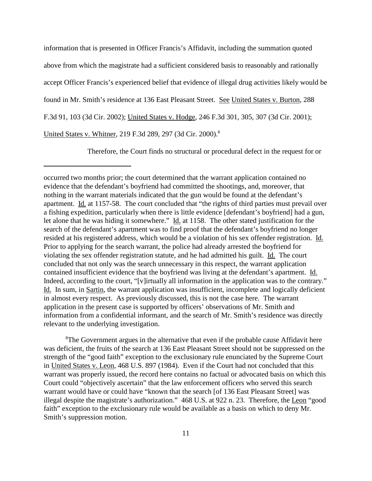information that is presented in Officer Francis's Affidavit, including the summation quoted above from which the magistrate had a sufficient considered basis to reasonably and rationally accept Officer Francis's experienced belief that evidence of illegal drug activities likely would be found in Mr. Smith's residence at 136 East Pleasant Street. See United States v. Burton, 288 F.3d 91, 103 (3d Cir. 2002); United States v. Hodge, 246 F.3d 301, 305, 307 (3d Cir. 2001); United States v. Whitner, 219 F.3d 289, 297 (3d Cir. 2000). 8

Therefore, the Court finds no structural or procedural defect in the request for or

<sup>8</sup>The Government argues in the alternative that even if the probable cause Affidavit here was deficient, the fruits of the search at 136 East Pleasant Street should not be suppressed on the strength of the "good faith" exception to the exclusionary rule enunciated by the Supreme Court in United States v. Leon, 468 U.S. 897 (1984). Even if the Court had not concluded that this warrant was properly issued, the record here contains no factual or advocated basis on which this Court could "objectively ascertain" that the law enforcement officers who served this search warrant would have or could have "known that the search [of 136 East Pleasant Street] was illegal despite the magistrate's authorization." 468 U.S. at 922 n. 23. Therefore, the Leon "good faith" exception to the exclusionary rule would be available as a basis on which to deny Mr. Smith's suppression motion.

occurred two months prior; the court determined that the warrant application contained no evidence that the defendant's boyfriend had committed the shootings, and, moreover, that nothing in the warrant materials indicated that the gun would be found at the defendant's apartment. Id. at 1157-58. The court concluded that "the rights of third parties must prevail over a fishing expedition, particularly when there is little evidence [defendant's boyfriend] had a gun, let alone that he was hiding it somewhere." Id. at 1158. The other stated justification for the search of the defendant's apartment was to find proof that the defendant's boyfriend no longer resided at his registered address, which would be a violation of his sex offender registration. Id. Prior to applying for the search warrant, the police had already arrested the boyfriend for violating the sex offender registration statute, and he had admitted his guilt. Id. The court concluded that not only was the search unnecessary in this respect, the warrant application contained insufficient evidence that the boyfriend was living at the defendant's apartment. Id. Indeed, according to the court, "[v]irtually all information in the application was to the contrary." Id. In sum, in Sartin, the warrant application was insufficient, incomplete and logically deficient in almost every respect. As previously discussed, this is not the case here. The warrant application in the present case is supported by officers' observations of Mr. Smith and information from a confidential informant, and the search of Mr. Smith's residence was directly relevant to the underlying investigation.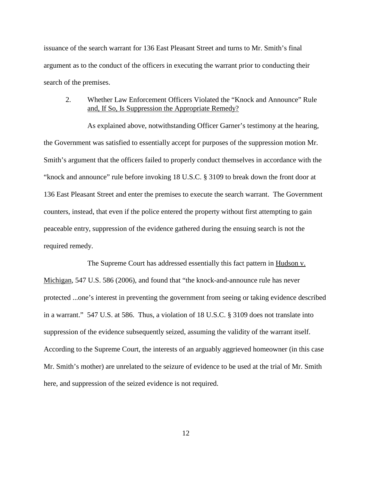issuance of the search warrant for 136 East Pleasant Street and turns to Mr. Smith's final argument as to the conduct of the officers in executing the warrant prior to conducting their search of the premises.

# 2. Whether Law Enforcement Officers Violated the "Knock and Announce" Rule and, If So, Is Suppression the Appropriate Remedy?

As explained above, notwithstanding Officer Garner's testimony at the hearing, the Government was satisfied to essentially accept for purposes of the suppression motion Mr. Smith's argument that the officers failed to properly conduct themselves in accordance with the "knock and announce" rule before invoking 18 U.S.C. § 3109 to break down the front door at 136 East Pleasant Street and enter the premises to execute the search warrant. The Government counters, instead, that even if the police entered the property without first attempting to gain peaceable entry, suppression of the evidence gathered during the ensuing search is not the required remedy.

The Supreme Court has addressed essentially this fact pattern in Hudson v. Michigan, 547 U.S. 586 (2006), and found that "the knock-and-announce rule has never protected ...one's interest in preventing the government from seeing or taking evidence described in a warrant." 547 U.S. at 586. Thus, a violation of 18 U.S.C. § 3109 does not translate into suppression of the evidence subsequently seized, assuming the validity of the warrant itself. According to the Supreme Court, the interests of an arguably aggrieved homeowner (in this case Mr. Smith's mother) are unrelated to the seizure of evidence to be used at the trial of Mr. Smith here, and suppression of the seized evidence is not required.

12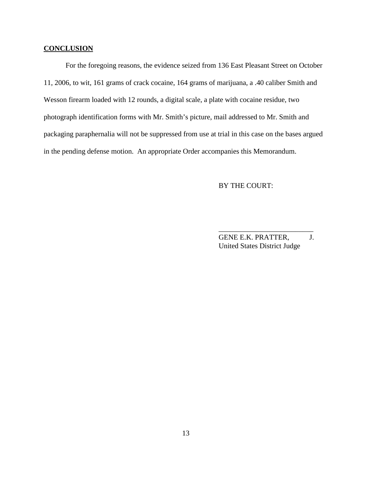### **CONCLUSION**

For the foregoing reasons, the evidence seized from 136 East Pleasant Street on October 11, 2006, to wit, 161 grams of crack cocaine, 164 grams of marijuana, a .40 caliber Smith and Wesson firearm loaded with 12 rounds, a digital scale, a plate with cocaine residue, two photograph identification forms with Mr. Smith's picture, mail addressed to Mr. Smith and packaging paraphernalia will not be suppressed from use at trial in this case on the bases argued in the pending defense motion. An appropriate Order accompanies this Memorandum.

## BY THE COURT:

GENE E.K. PRATTER, J. United States District Judge

\_\_\_\_\_\_\_\_\_\_\_\_\_\_\_\_\_\_\_\_\_\_\_\_\_\_